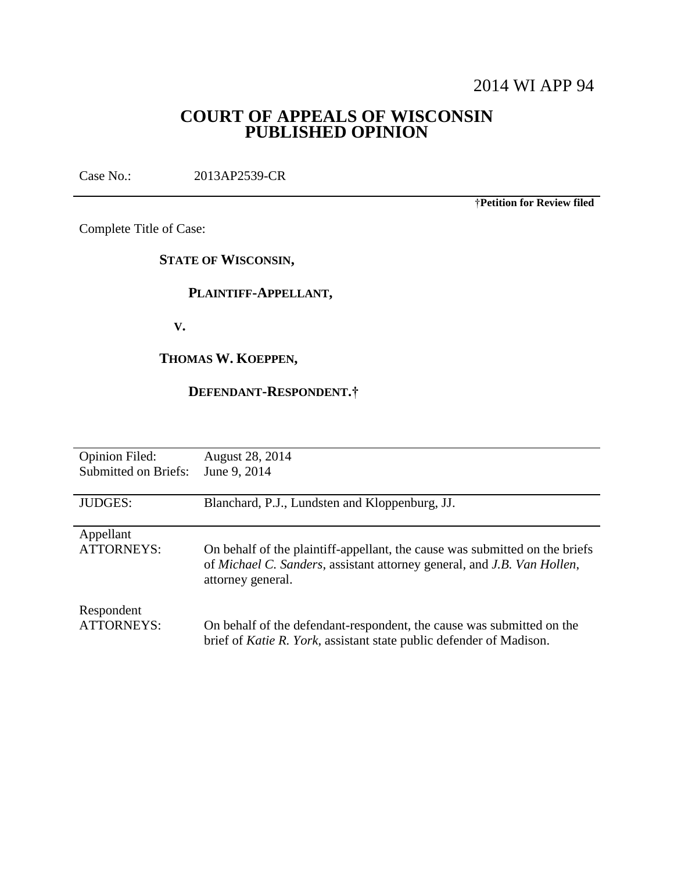# 2014 WI APP 94

# **COURT OF APPEALS OF WISCONSIN PUBLISHED OPINION**

Case No.: 2013AP2539-CR

†**Petition for Review filed**

Complete Title of Case:

## **STATE OF WISCONSIN,**

# **PLAINTIFF-APPELLANT,**

 **V.**

# **THOMAS W. KOEPPEN,**

# **DEFENDANT-RESPONDENT.†**

| <b>Opinion Filed:</b>          | August 28, 2014                                                                                                                                                             |
|--------------------------------|-----------------------------------------------------------------------------------------------------------------------------------------------------------------------------|
| <b>Submitted on Briefs:</b>    | June 9, 2014                                                                                                                                                                |
| <b>JUDGES:</b>                 | Blanchard, P.J., Lundsten and Kloppenburg, JJ.                                                                                                                              |
| Appellant<br><b>ATTORNEYS:</b> | On behalf of the plaintiff-appellant, the cause was submitted on the briefs<br>of Michael C. Sanders, assistant attorney general, and J.B. Van Hollen,<br>attorney general. |
| Respondent                     | On behalf of the defendant-respondent, the cause was submitted on the                                                                                                       |
| <b>ATTORNEYS:</b>              | brief of Katie R. York, assistant state public defender of Madison.                                                                                                         |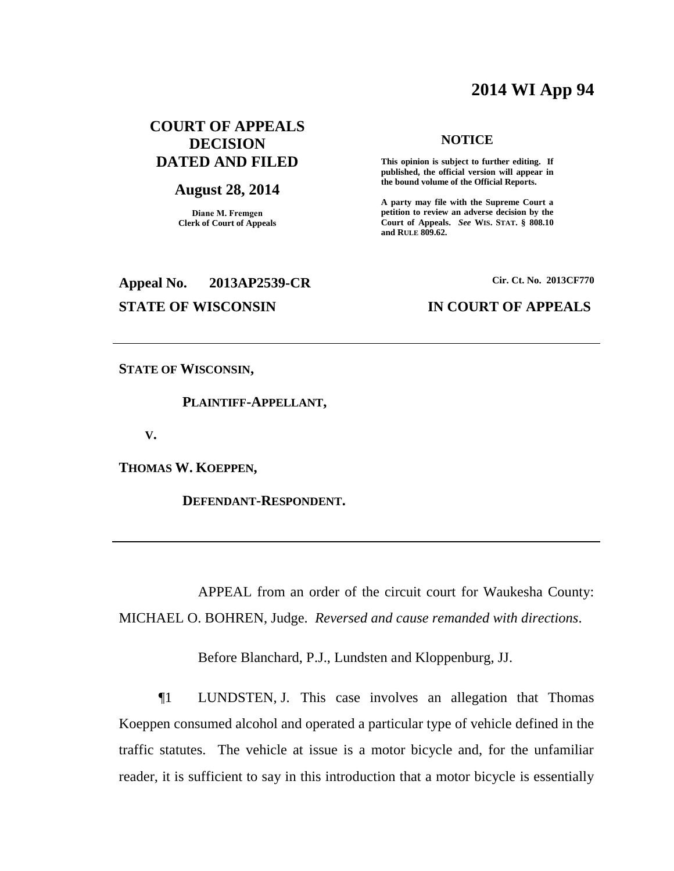# **2014 WI App 94**

# **COURT OF APPEALS DECISION DATED AND FILED**

#### **August 28, 2014**

**Diane M. Fremgen Clerk of Court of Appeals**

# **Appeal No. 2013AP2539-CR Cir. Ct. No. 2013CF770**

#### **NOTICE**

**This opinion is subject to further editing. If published, the official version will appear in the bound volume of the Official Reports.** 

**A party may file with the Supreme Court a petition to review an adverse decision by the Court of Appeals.** *See* **WIS. STAT. § 808.10 and RULE 809.62.** 

#### **STATE OF WISCONSIN IN COURT OF APPEALS**

**STATE OF WISCONSIN,**

 **PLAINTIFF-APPELLANT,**

 **V.**

**THOMAS W. KOEPPEN,**

 **DEFENDANT-RESPONDENT.**

APPEAL from an order of the circuit court for Waukesha County: MICHAEL O. BOHREN, Judge. *Reversed and cause remanded with directions*.

Before Blanchard, P.J., Lundsten and Kloppenburg, JJ.

¶1 LUNDSTEN, J. This case involves an allegation that Thomas Koeppen consumed alcohol and operated a particular type of vehicle defined in the traffic statutes. The vehicle at issue is a motor bicycle and, for the unfamiliar reader, it is sufficient to say in this introduction that a motor bicycle is essentially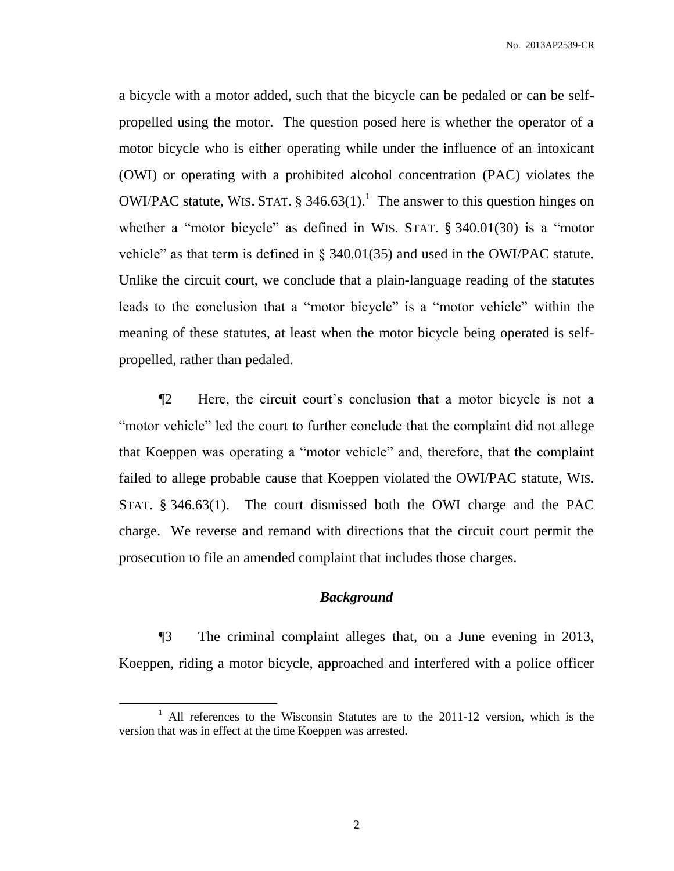a bicycle with a motor added, such that the bicycle can be pedaled or can be selfpropelled using the motor. The question posed here is whether the operator of a motor bicycle who is either operating while under the influence of an intoxicant (OWI) or operating with a prohibited alcohol concentration (PAC) violates the OWI/PAC statute, WIS. STAT.  $\S 346.63(1)$ .<sup>1</sup> The answer to this question hinges on whether a "motor bicycle" as defined in WIS. STAT. § 340.01(30) is a "motor vehicle" as that term is defined in § 340.01(35) and used in the OWI/PAC statute. Unlike the circuit court, we conclude that a plain-language reading of the statutes leads to the conclusion that a "motor bicycle" is a "motor vehicle" within the meaning of these statutes, at least when the motor bicycle being operated is selfpropelled, rather than pedaled.

¶2 Here, the circuit court's conclusion that a motor bicycle is not a "motor vehicle" led the court to further conclude that the complaint did not allege that Koeppen was operating a "motor vehicle" and, therefore, that the complaint failed to allege probable cause that Koeppen violated the OWI/PAC statute, WIS. STAT. § 346.63(1). The court dismissed both the OWI charge and the PAC charge. We reverse and remand with directions that the circuit court permit the prosecution to file an amended complaint that includes those charges.

#### *Background*

¶3 The criminal complaint alleges that, on a June evening in 2013, Koeppen, riding a motor bicycle, approached and interfered with a police officer

<sup>&</sup>lt;sup>1</sup> All references to the Wisconsin Statutes are to the 2011-12 version, which is the version that was in effect at the time Koeppen was arrested.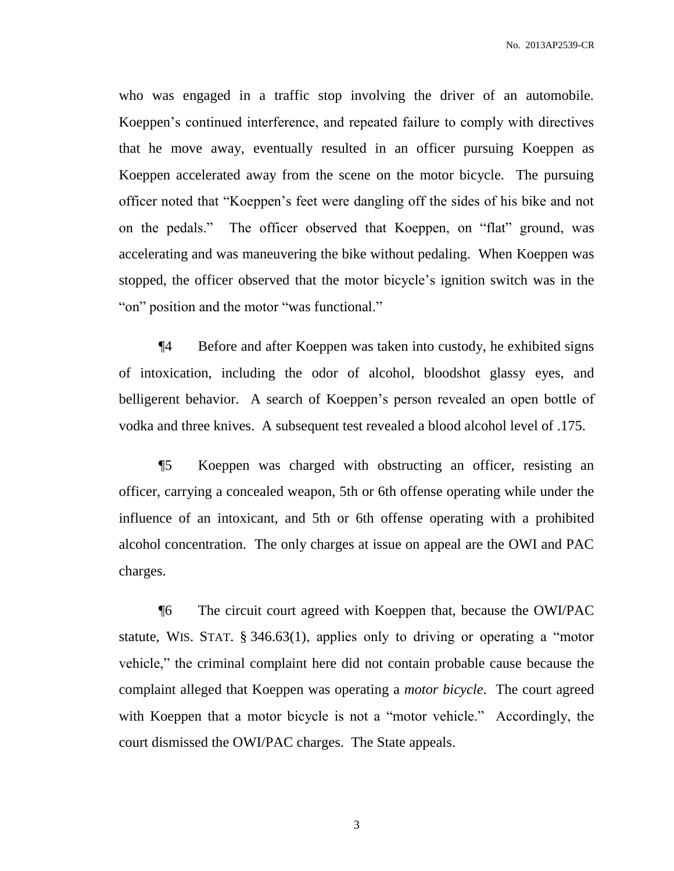who was engaged in a traffic stop involving the driver of an automobile. Koeppen's continued interference, and repeated failure to comply with directives that he move away, eventually resulted in an officer pursuing Koeppen as Koeppen accelerated away from the scene on the motor bicycle. The pursuing officer noted that "Koeppen's feet were dangling off the sides of his bike and not on the pedals." The officer observed that Koeppen, on "flat" ground, was accelerating and was maneuvering the bike without pedaling. When Koeppen was stopped, the officer observed that the motor bicycle's ignition switch was in the "on" position and the motor "was functional."

¶4 Before and after Koeppen was taken into custody, he exhibited signs of intoxication, including the odor of alcohol, bloodshot glassy eyes, and belligerent behavior. A search of Koeppen's person revealed an open bottle of vodka and three knives. A subsequent test revealed a blood alcohol level of .175.

¶5 Koeppen was charged with obstructing an officer, resisting an officer, carrying a concealed weapon, 5th or 6th offense operating while under the influence of an intoxicant, and 5th or 6th offense operating with a prohibited alcohol concentration. The only charges at issue on appeal are the OWI and PAC charges.

¶6 The circuit court agreed with Koeppen that, because the OWI/PAC statute, WIS. STAT. § 346.63(1), applies only to driving or operating a "motor vehicle," the criminal complaint here did not contain probable cause because the complaint alleged that Koeppen was operating a *motor bicycle*. The court agreed with Koeppen that a motor bicycle is not a "motor vehicle." Accordingly, the court dismissed the OWI/PAC charges. The State appeals.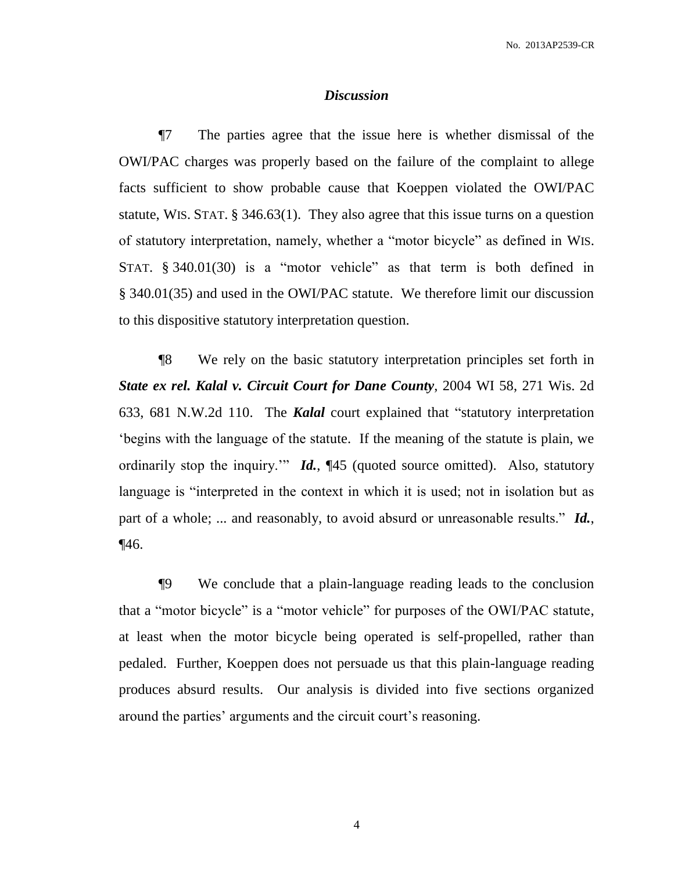#### *Discussion*

¶7 The parties agree that the issue here is whether dismissal of the OWI/PAC charges was properly based on the failure of the complaint to allege facts sufficient to show probable cause that Koeppen violated the OWI/PAC statute, WIS. STAT. § 346.63(1). They also agree that this issue turns on a question of statutory interpretation, namely, whether a "motor bicycle" as defined in WIS. STAT. § 340.01(30) is a "motor vehicle" as that term is both defined in § 340.01(35) and used in the OWI/PAC statute. We therefore limit our discussion to this dispositive statutory interpretation question.

¶8 We rely on the basic statutory interpretation principles set forth in *State ex rel. Kalal v. Circuit Court for Dane County*, 2004 WI 58, 271 Wis. 2d 633, 681 N.W.2d 110. The *Kalal* court explained that "statutory interpretation 'begins with the language of the statute. If the meaning of the statute is plain, we ordinarily stop the inquiry.'" *Id.*, ¶45 (quoted source omitted). Also, statutory language is "interpreted in the context in which it is used; not in isolation but as part of a whole; ... and reasonably, to avoid absurd or unreasonable results." *Id.*, ¶46.

¶9 We conclude that a plain-language reading leads to the conclusion that a "motor bicycle" is a "motor vehicle" for purposes of the OWI/PAC statute, at least when the motor bicycle being operated is self-propelled, rather than pedaled. Further, Koeppen does not persuade us that this plain-language reading produces absurd results. Our analysis is divided into five sections organized around the parties' arguments and the circuit court's reasoning.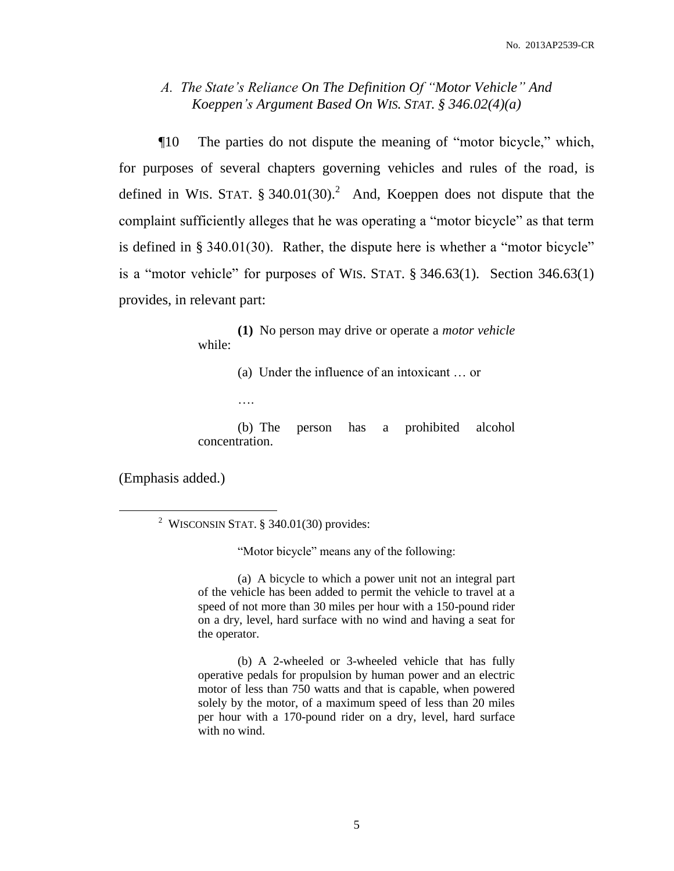## *A. The State's Reliance On The Definition Of "Motor Vehicle" And Koeppen's Argument Based On WIS. STAT. § 346.02(4)(a)*

¶10 The parties do not dispute the meaning of "motor bicycle," which, for purposes of several chapters governing vehicles and rules of the road, is defined in WIS. STAT.  $\S$  340.01(30).<sup>2</sup> And, Koeppen does not dispute that the complaint sufficiently alleges that he was operating a "motor bicycle" as that term is defined in § 340.01(30). Rather, the dispute here is whether a "motor bicycle" is a "motor vehicle" for purposes of WIS. STAT.  $\S$  346.63(1). Section 346.63(1) provides, in relevant part:

> **(1)** No person may drive or operate a *motor vehicle* while:

> > (a) Under the influence of an intoxicant … or

(b) The person has a prohibited alcohol concentration.

(Emphasis added.)

 $\overline{a}$ 

….

"Motor bicycle" means any of the following:

(a) A bicycle to which a power unit not an integral part of the vehicle has been added to permit the vehicle to travel at a speed of not more than 30 miles per hour with a 150-pound rider on a dry, level, hard surface with no wind and having a seat for the operator.

(b) A 2-wheeled or 3-wheeled vehicle that has fully operative pedals for propulsion by human power and an electric motor of less than 750 watts and that is capable, when powered solely by the motor, of a maximum speed of less than 20 miles per hour with a 170-pound rider on a dry, level, hard surface with no wind.

<sup>&</sup>lt;sup>2</sup> WISCONSIN STAT. § 340.01(30) provides: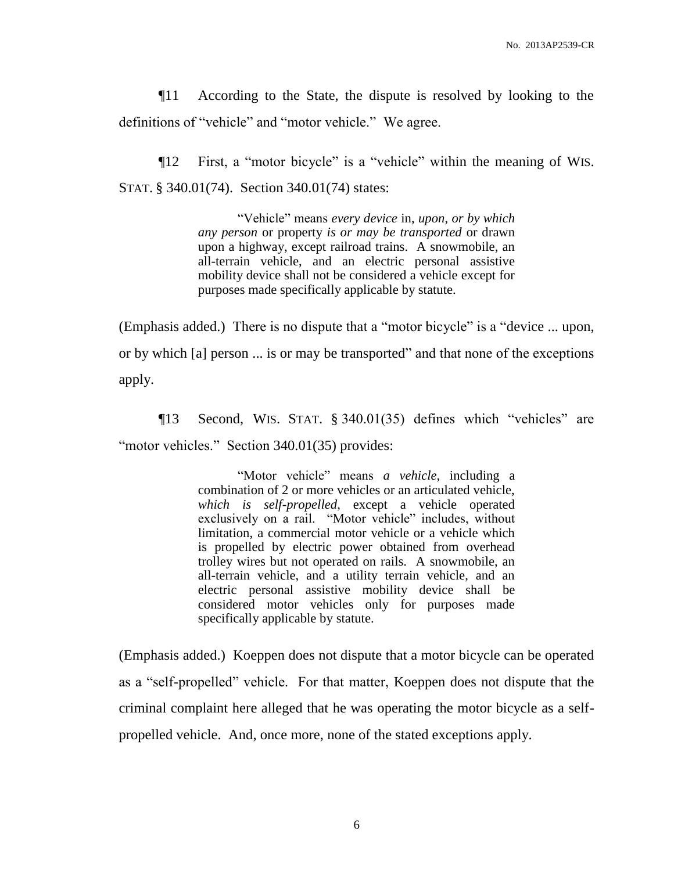¶11 According to the State, the dispute is resolved by looking to the definitions of "vehicle" and "motor vehicle." We agree.

¶12 First, a "motor bicycle" is a "vehicle" within the meaning of WIS. STAT. § 340.01(74). Section 340.01(74) states:

> "Vehicle" means *every device* in, *upon, or by which any person* or property *is or may be transported* or drawn upon a highway, except railroad trains. A snowmobile, an all-terrain vehicle, and an electric personal assistive mobility device shall not be considered a vehicle except for purposes made specifically applicable by statute.

(Emphasis added.) There is no dispute that a "motor bicycle" is a "device ... upon, or by which [a] person ... is or may be transported" and that none of the exceptions apply.

¶13 Second, WIS. STAT. § 340.01(35) defines which "vehicles" are "motor vehicles." Section 340.01(35) provides:

> "Motor vehicle" means *a vehicle*, including a combination of 2 or more vehicles or an articulated vehicle, *which is self-propelled*, except a vehicle operated exclusively on a rail. "Motor vehicle" includes, without limitation, a commercial motor vehicle or a vehicle which is propelled by electric power obtained from overhead trolley wires but not operated on rails. A snowmobile, an all-terrain vehicle, and a utility terrain vehicle, and an electric personal assistive mobility device shall be considered motor vehicles only for purposes made specifically applicable by statute.

(Emphasis added.) Koeppen does not dispute that a motor bicycle can be operated as a "self-propelled" vehicle. For that matter, Koeppen does not dispute that the criminal complaint here alleged that he was operating the motor bicycle as a selfpropelled vehicle. And, once more, none of the stated exceptions apply.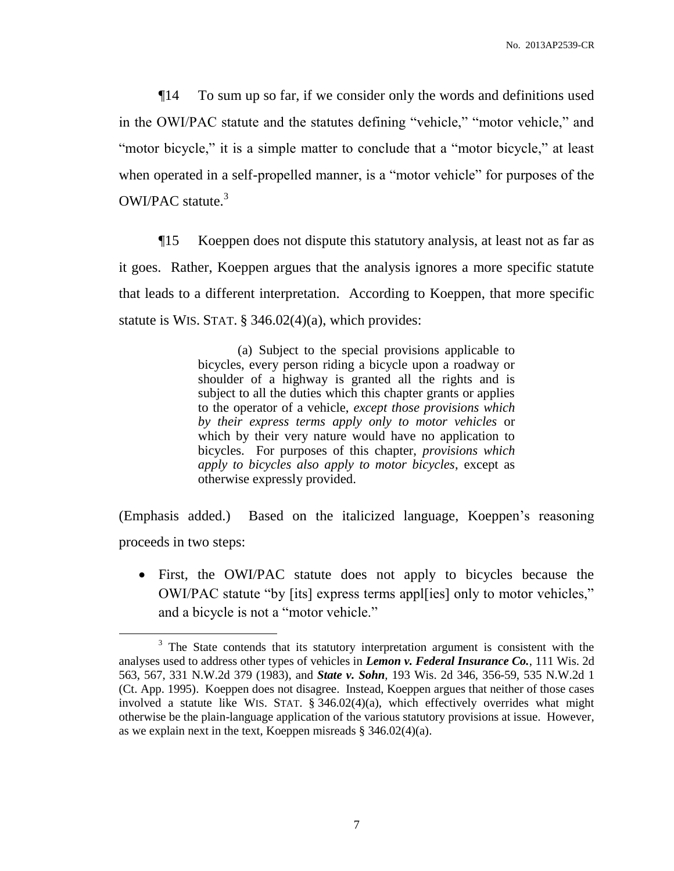¶14 To sum up so far, if we consider only the words and definitions used in the OWI/PAC statute and the statutes defining "vehicle," "motor vehicle," and "motor bicycle," it is a simple matter to conclude that a "motor bicycle," at least when operated in a self-propelled manner, is a "motor vehicle" for purposes of the OWI/PAC statute.<sup>3</sup>

¶15 Koeppen does not dispute this statutory analysis, at least not as far as it goes. Rather, Koeppen argues that the analysis ignores a more specific statute that leads to a different interpretation. According to Koeppen, that more specific statute is WIS. STAT.  $\S$  346.02(4)(a), which provides:

> (a) Subject to the special provisions applicable to bicycles, every person riding a bicycle upon a roadway or shoulder of a highway is granted all the rights and is subject to all the duties which this chapter grants or applies to the operator of a vehicle, *except those provisions which by their express terms apply only to motor vehicles* or which by their very nature would have no application to bicycles. For purposes of this chapter, *provisions which apply to bicycles also apply to motor bicycles*, except as otherwise expressly provided.

(Emphasis added.) Based on the italicized language, Koeppen's reasoning proceeds in two steps:

 First, the OWI/PAC statute does not apply to bicycles because the OWI/PAC statute "by [its] express terms appl[ies] only to motor vehicles," and a bicycle is not a "motor vehicle."

 $3$  The State contends that its statutory interpretation argument is consistent with the analyses used to address other types of vehicles in *Lemon v. Federal Insurance Co.*, 111 Wis. 2d 563, 567, 331 N.W.2d 379 (1983), and *State v. Sohn*, 193 Wis. 2d 346, 356-59, 535 N.W.2d 1 (Ct. App. 1995). Koeppen does not disagree. Instead, Koeppen argues that neither of those cases involved a statute like WIS. STAT.  $\S$  346.02(4)(a), which effectively overrides what might otherwise be the plain-language application of the various statutory provisions at issue. However, as we explain next in the text, Koeppen misreads § 346.02(4)(a).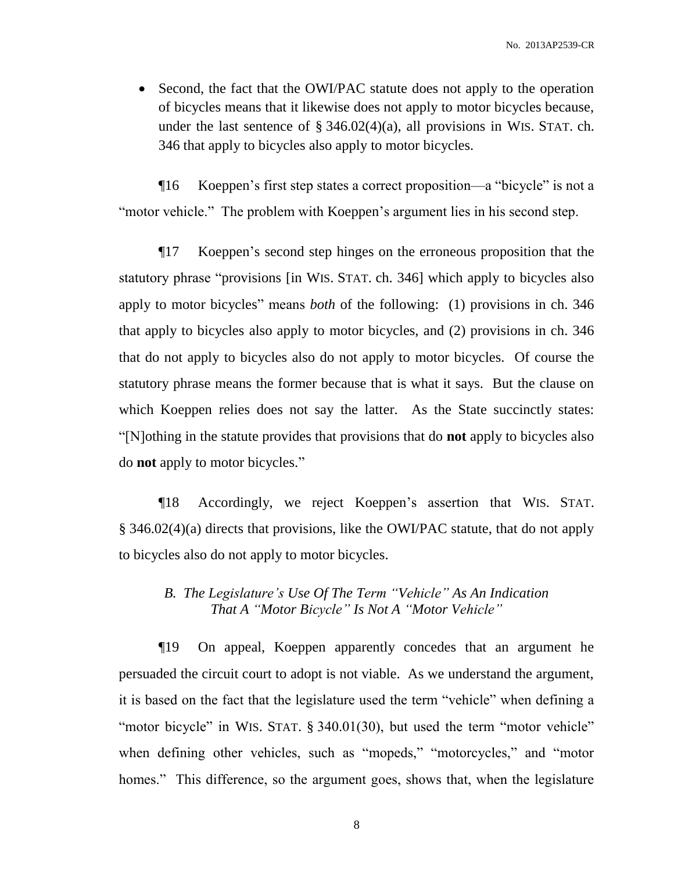• Second, the fact that the OWI/PAC statute does not apply to the operation of bicycles means that it likewise does not apply to motor bicycles because, under the last sentence of  $\S$  346.02(4)(a), all provisions in WIS. STAT. ch. 346 that apply to bicycles also apply to motor bicycles.

¶16 Koeppen's first step states a correct proposition—a "bicycle" is not a "motor vehicle." The problem with Koeppen's argument lies in his second step.

¶17 Koeppen's second step hinges on the erroneous proposition that the statutory phrase "provisions [in WIS. STAT. ch. 346] which apply to bicycles also apply to motor bicycles" means *both* of the following: (1) provisions in ch. 346 that apply to bicycles also apply to motor bicycles, and (2) provisions in ch. 346 that do not apply to bicycles also do not apply to motor bicycles. Of course the statutory phrase means the former because that is what it says. But the clause on which Koeppen relies does not say the latter. As the State succinctly states: "[N]othing in the statute provides that provisions that do **not** apply to bicycles also do **not** apply to motor bicycles."

¶18 Accordingly, we reject Koeppen's assertion that WIS. STAT. § 346.02(4)(a) directs that provisions, like the OWI/PAC statute, that do not apply to bicycles also do not apply to motor bicycles.

# *B. The Legislature's Use Of The Term "Vehicle" As An Indication That A "Motor Bicycle" Is Not A "Motor Vehicle"*

¶19 On appeal, Koeppen apparently concedes that an argument he persuaded the circuit court to adopt is not viable. As we understand the argument, it is based on the fact that the legislature used the term "vehicle" when defining a "motor bicycle" in WIS. STAT. § 340.01(30), but used the term "motor vehicle" when defining other vehicles, such as "mopeds," "motorcycles," and "motor homes." This difference, so the argument goes, shows that, when the legislature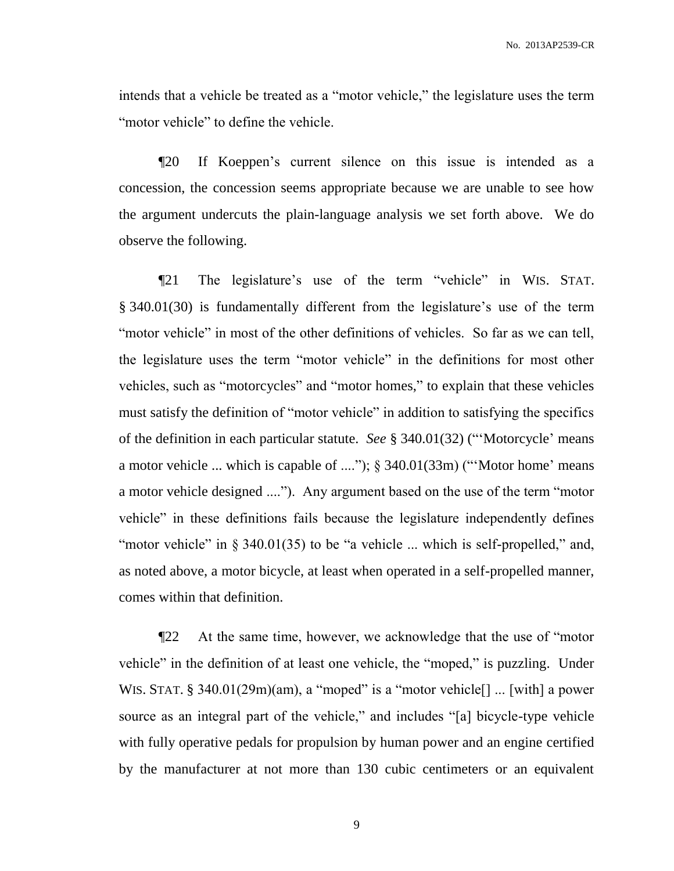intends that a vehicle be treated as a "motor vehicle," the legislature uses the term "motor vehicle" to define the vehicle.

¶20 If Koeppen's current silence on this issue is intended as a concession, the concession seems appropriate because we are unable to see how the argument undercuts the plain-language analysis we set forth above. We do observe the following.

¶21 The legislature's use of the term "vehicle" in WIS. STAT. § 340.01(30) is fundamentally different from the legislature's use of the term "motor vehicle" in most of the other definitions of vehicles. So far as we can tell, the legislature uses the term "motor vehicle" in the definitions for most other vehicles, such as "motorcycles" and "motor homes," to explain that these vehicles must satisfy the definition of "motor vehicle" in addition to satisfying the specifics of the definition in each particular statute. *See* § 340.01(32) ("'Motorcycle' means a motor vehicle ... which is capable of ...."); § 340.01(33m) ("'Motor home' means a motor vehicle designed ...."). Any argument based on the use of the term "motor vehicle" in these definitions fails because the legislature independently defines "motor vehicle" in § 340.01(35) to be "a vehicle ... which is self-propelled," and, as noted above, a motor bicycle, at least when operated in a self-propelled manner, comes within that definition.

¶22 At the same time, however, we acknowledge that the use of "motor vehicle" in the definition of at least one vehicle, the "moped," is puzzling. Under WIS. STAT. § 340.01(29m)(am), a "moped" is a "motor vehicle<sup>[]</sup> ... [with] a power source as an integral part of the vehicle," and includes "[a] bicycle-type vehicle with fully operative pedals for propulsion by human power and an engine certified by the manufacturer at not more than 130 cubic centimeters or an equivalent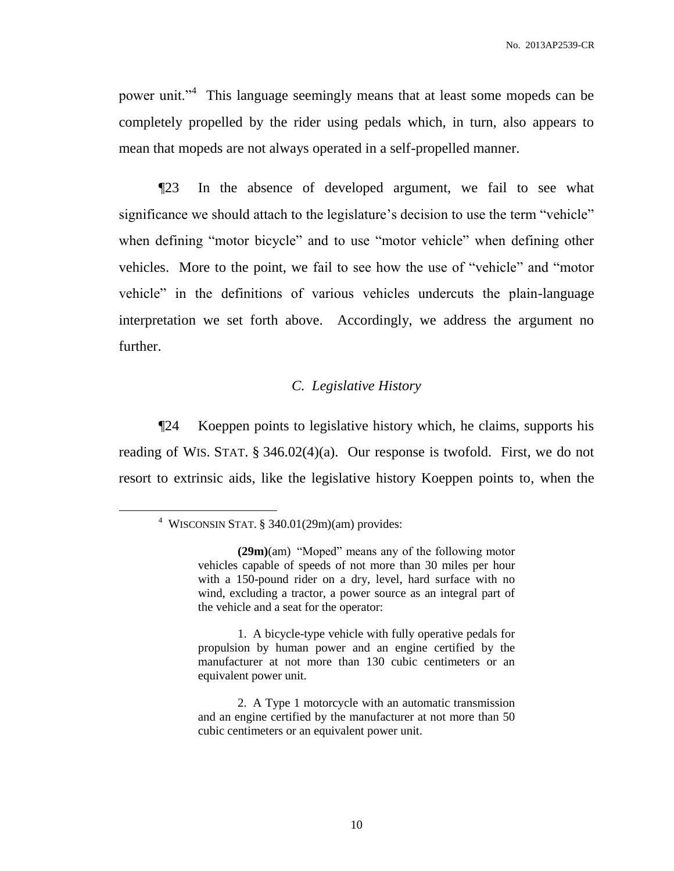power unit."<sup>4</sup> This language seemingly means that at least some mopeds can be completely propelled by the rider using pedals which, in turn, also appears to mean that mopeds are not always operated in a self-propelled manner.

¶23 In the absence of developed argument, we fail to see what significance we should attach to the legislature's decision to use the term "vehicle" when defining "motor bicycle" and to use "motor vehicle" when defining other vehicles. More to the point, we fail to see how the use of "vehicle" and "motor vehicle" in the definitions of various vehicles undercuts the plain-language interpretation we set forth above. Accordingly, we address the argument no further.

#### *C. Legislative History*

¶24 Koeppen points to legislative history which, he claims, supports his reading of WIS. STAT. § 346.02(4)(a). Our response is twofold. First, we do not resort to extrinsic aids, like the legislative history Koeppen points to, when the

<sup>4</sup> WISCONSIN STAT. § 340.01(29m)(am) provides:

**<sup>(29</sup>m)**(am) "Moped" means any of the following motor vehicles capable of speeds of not more than 30 miles per hour with a 150-pound rider on a dry, level, hard surface with no wind, excluding a tractor, a power source as an integral part of the vehicle and a seat for the operator:

<sup>1.</sup> A bicycle-type vehicle with fully operative pedals for propulsion by human power and an engine certified by the manufacturer at not more than 130 cubic centimeters or an equivalent power unit.

<sup>2.</sup> A Type 1 motorcycle with an automatic transmission and an engine certified by the manufacturer at not more than 50 cubic centimeters or an equivalent power unit.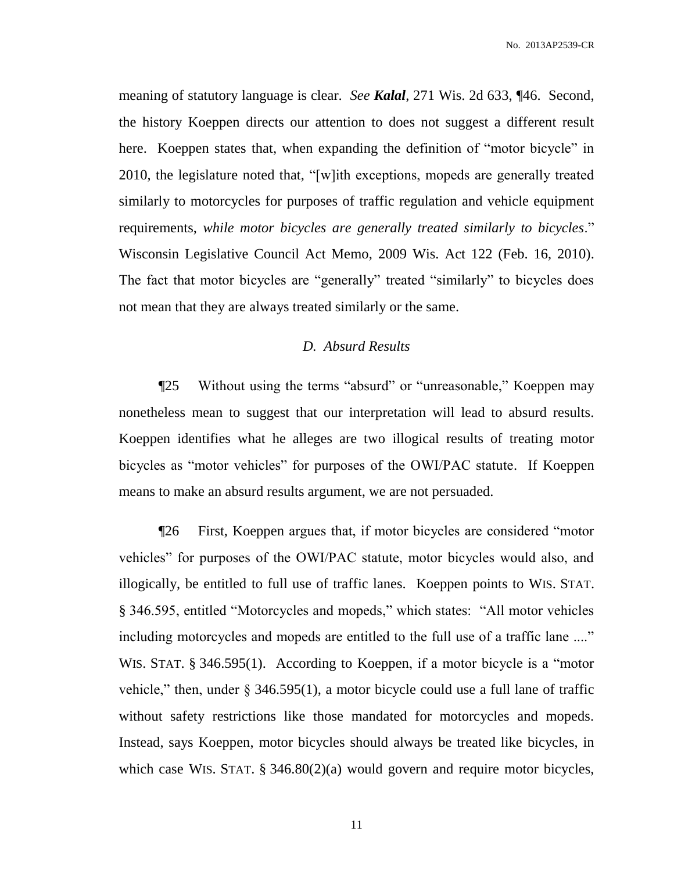meaning of statutory language is clear. *See Kalal*, 271 Wis. 2d 633, ¶46. Second, the history Koeppen directs our attention to does not suggest a different result here. Koeppen states that, when expanding the definition of "motor bicycle" in 2010, the legislature noted that, "[w]ith exceptions, mopeds are generally treated similarly to motorcycles for purposes of traffic regulation and vehicle equipment requirements, *while motor bicycles are generally treated similarly to bicycles*." Wisconsin Legislative Council Act Memo, 2009 Wis. Act 122 (Feb. 16, 2010). The fact that motor bicycles are "generally" treated "similarly" to bicycles does not mean that they are always treated similarly or the same.

## *D. Absurd Results*

¶25 Without using the terms "absurd" or "unreasonable," Koeppen may nonetheless mean to suggest that our interpretation will lead to absurd results. Koeppen identifies what he alleges are two illogical results of treating motor bicycles as "motor vehicles" for purposes of the OWI/PAC statute. If Koeppen means to make an absurd results argument, we are not persuaded.

¶26 First, Koeppen argues that, if motor bicycles are considered "motor vehicles" for purposes of the OWI/PAC statute, motor bicycles would also, and illogically, be entitled to full use of traffic lanes. Koeppen points to WIS. STAT. § 346.595, entitled "Motorcycles and mopeds," which states: "All motor vehicles including motorcycles and mopeds are entitled to the full use of a traffic lane ...." WIS. STAT. § 346.595(1). According to Koeppen, if a motor bicycle is a "motor vehicle," then, under  $\S 346.595(1)$ , a motor bicycle could use a full lane of traffic without safety restrictions like those mandated for motorcycles and mopeds. Instead, says Koeppen, motor bicycles should always be treated like bicycles, in which case WIS. STAT. § 346.80(2)(a) would govern and require motor bicycles,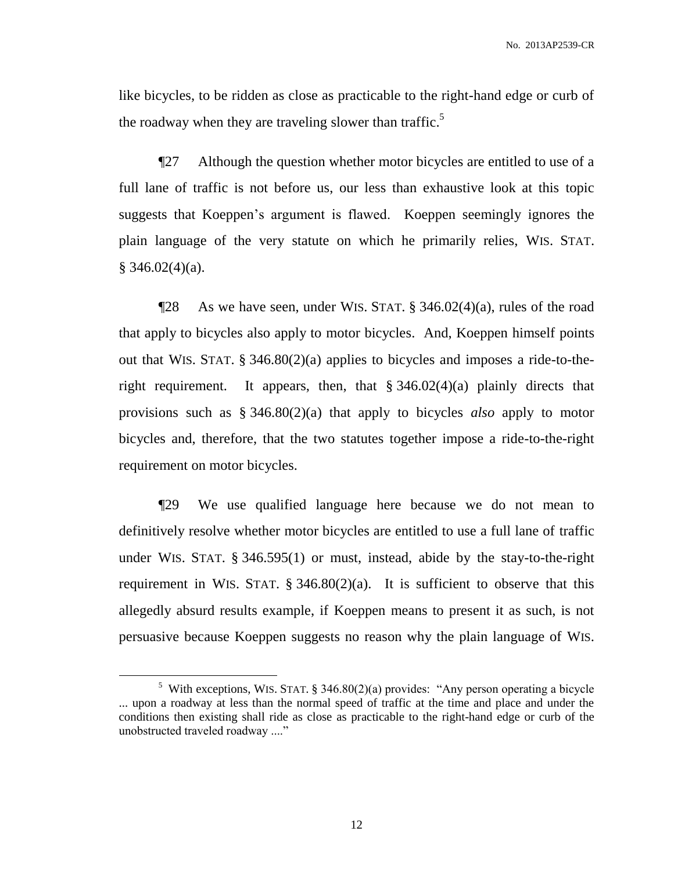like bicycles, to be ridden as close as practicable to the right-hand edge or curb of the roadway when they are traveling slower than traffic.<sup>5</sup>

¶27 Although the question whether motor bicycles are entitled to use of a full lane of traffic is not before us, our less than exhaustive look at this topic suggests that Koeppen's argument is flawed. Koeppen seemingly ignores the plain language of the very statute on which he primarily relies, WIS. STAT.  $§$  346.02(4)(a).

 $\P$ 28 As we have seen, under WIS. STAT. § 346.02(4)(a), rules of the road that apply to bicycles also apply to motor bicycles. And, Koeppen himself points out that WIS. STAT. § 346.80(2)(a) applies to bicycles and imposes a ride-to-theright requirement. It appears, then, that  $\S 346.02(4)(a)$  plainly directs that provisions such as § 346.80(2)(a) that apply to bicycles *also* apply to motor bicycles and, therefore, that the two statutes together impose a ride-to-the-right requirement on motor bicycles.

¶29 We use qualified language here because we do not mean to definitively resolve whether motor bicycles are entitled to use a full lane of traffic under WIS. STAT. § 346.595(1) or must, instead, abide by the stay-to-the-right requirement in WIS. STAT.  $\S$  346.80(2)(a). It is sufficient to observe that this allegedly absurd results example, if Koeppen means to present it as such, is not persuasive because Koeppen suggests no reason why the plain language of WIS.

<sup>&</sup>lt;sup>5</sup> With exceptions, WIS. STAT. § 346.80(2)(a) provides: "Any person operating a bicycle ... upon a roadway at less than the normal speed of traffic at the time and place and under the conditions then existing shall ride as close as practicable to the right-hand edge or curb of the unobstructed traveled roadway ...."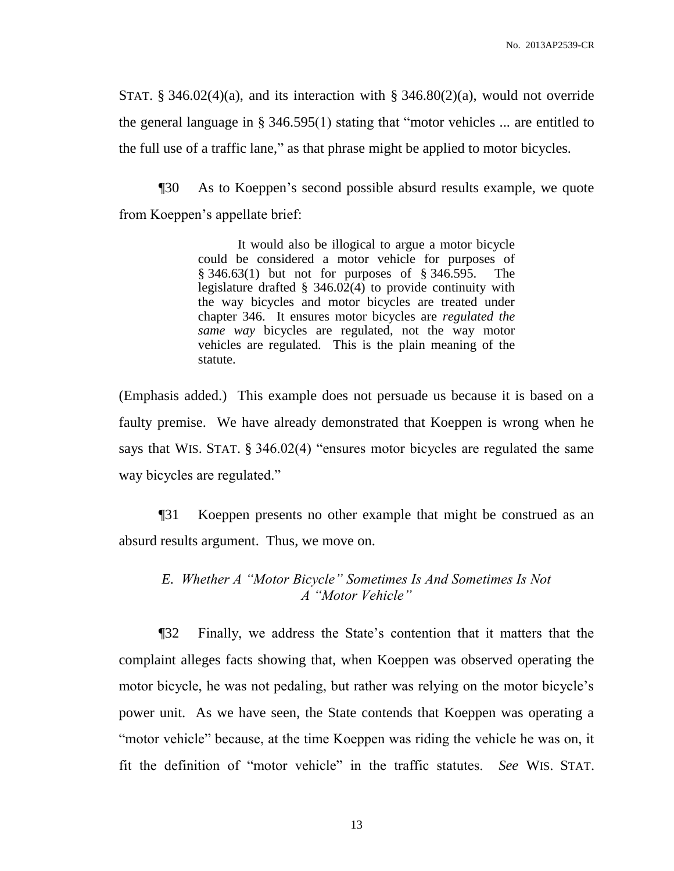STAT.  $\S$  346.02(4)(a), and its interaction with  $\S$  346.80(2)(a), would not override the general language in § 346.595(1) stating that "motor vehicles ... are entitled to the full use of a traffic lane," as that phrase might be applied to motor bicycles.

¶30 As to Koeppen's second possible absurd results example, we quote from Koeppen's appellate brief:

> It would also be illogical to argue a motor bicycle could be considered a motor vehicle for purposes of § 346.63(1) but not for purposes of § 346.595. The legislature drafted § 346.02(4) to provide continuity with the way bicycles and motor bicycles are treated under chapter 346. It ensures motor bicycles are *regulated the same way* bicycles are regulated, not the way motor vehicles are regulated. This is the plain meaning of the statute.

(Emphasis added.) This example does not persuade us because it is based on a faulty premise. We have already demonstrated that Koeppen is wrong when he says that WIS. STAT. § 346.02(4) "ensures motor bicycles are regulated the same way bicycles are regulated."

¶31 Koeppen presents no other example that might be construed as an absurd results argument. Thus, we move on.

# *E. Whether A "Motor Bicycle" Sometimes Is And Sometimes Is Not A "Motor Vehicle"*

¶32 Finally, we address the State's contention that it matters that the complaint alleges facts showing that, when Koeppen was observed operating the motor bicycle, he was not pedaling, but rather was relying on the motor bicycle's power unit. As we have seen, the State contends that Koeppen was operating a "motor vehicle" because, at the time Koeppen was riding the vehicle he was on, it fit the definition of "motor vehicle" in the traffic statutes. *See* WIS. STAT.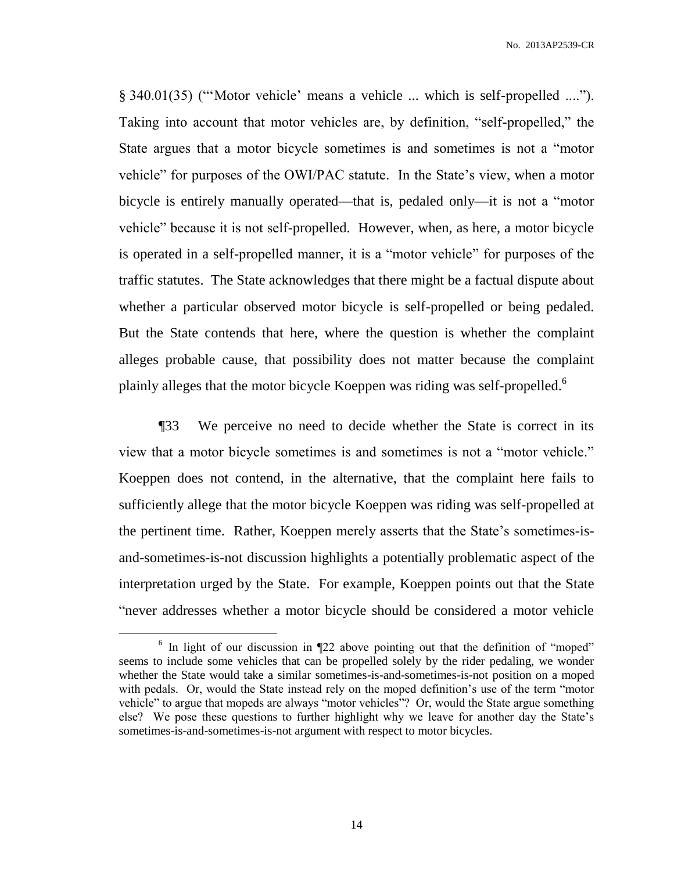§ 340.01(35) ("'Motor vehicle' means a vehicle ... which is self-propelled ...."). Taking into account that motor vehicles are, by definition, "self-propelled," the State argues that a motor bicycle sometimes is and sometimes is not a "motor vehicle" for purposes of the OWI/PAC statute. In the State's view, when a motor bicycle is entirely manually operated—that is, pedaled only—it is not a "motor vehicle" because it is not self-propelled. However, when, as here, a motor bicycle is operated in a self-propelled manner, it is a "motor vehicle" for purposes of the traffic statutes. The State acknowledges that there might be a factual dispute about whether a particular observed motor bicycle is self-propelled or being pedaled. But the State contends that here, where the question is whether the complaint alleges probable cause, that possibility does not matter because the complaint plainly alleges that the motor bicycle Koeppen was riding was self-propelled.<sup>6</sup>

¶33 We perceive no need to decide whether the State is correct in its view that a motor bicycle sometimes is and sometimes is not a "motor vehicle." Koeppen does not contend, in the alternative, that the complaint here fails to sufficiently allege that the motor bicycle Koeppen was riding was self-propelled at the pertinent time. Rather, Koeppen merely asserts that the State's sometimes-isand-sometimes-is-not discussion highlights a potentially problematic aspect of the interpretation urged by the State. For example, Koeppen points out that the State "never addresses whether a motor bicycle should be considered a motor vehicle

<sup>&</sup>lt;sup>6</sup> In light of our discussion in  $\P$ 22 above pointing out that the definition of "moped" seems to include some vehicles that can be propelled solely by the rider pedaling, we wonder whether the State would take a similar sometimes-is-and-sometimes-is-not position on a moped with pedals. Or, would the State instead rely on the moped definition's use of the term "motor vehicle" to argue that mopeds are always "motor vehicles"? Or, would the State argue something else? We pose these questions to further highlight why we leave for another day the State's sometimes-is-and-sometimes-is-not argument with respect to motor bicycles.